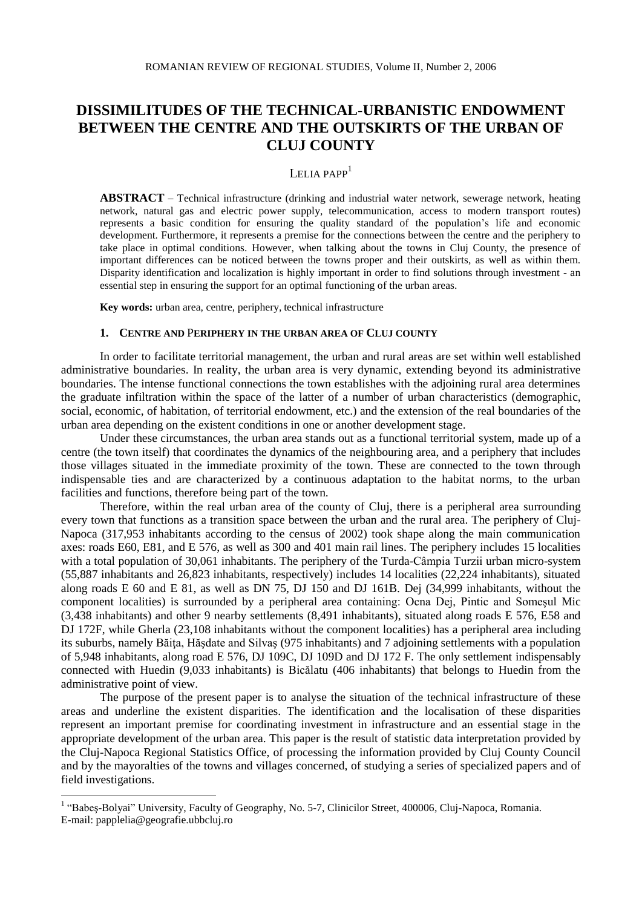# **DISSIMILITUDES OF THE TECHNICAL-URBANISTIC ENDOWMENT BETWEEN THE CENTRE AND THE OUTSKIRTS OF THE URBAN OF CLUJ COUNTY**

## LELIA PAPP<sup>1</sup>

**ABSTRACT** – Technical infrastructure (drinking and industrial water network, sewerage network, heating network, natural gas and electric power supply, telecommunication, access to modern transport routes) represents a basic condition for ensuring the quality standard of the population's life and economic development. Furthermore, it represents a premise for the connections between the centre and the periphery to take place in optimal conditions. However, when talking about the towns in Cluj County, the presence of important differences can be noticed between the towns proper and their outskirts, as well as within them. Disparity identification and localization is highly important in order to find solutions through investment - an essential step in ensuring the support for an optimal functioning of the urban areas.

**Key words:** urban area, centre, periphery, technical infrastructure

#### **1. CENTRE AND** P**ERIPHERY IN THE URBAN AREA OF CLUJ COUNTY**

In order to facilitate territorial management, the urban and rural areas are set within well established administrative boundaries. In reality, the urban area is very dynamic, extending beyond its administrative boundaries. The intense functional connections the town establishes with the adjoining rural area determines the graduate infiltration within the space of the latter of a number of urban characteristics (demographic, social, economic, of habitation, of territorial endowment, etc.) and the extension of the real boundaries of the urban area depending on the existent conditions in one or another development stage.

Under these circumstances, the urban area stands out as a functional territorial system, made up of a centre (the town itself) that coordinates the dynamics of the neighbouring area, and a periphery that includes those villages situated in the immediate proximity of the town. These are connected to the town through indispensable ties and are characterized by a continuous adaptation to the habitat norms, to the urban facilities and functions, therefore being part of the town.

Therefore, within the real urban area of the county of Cluj, there is a peripheral area surrounding every town that functions as a transition space between the urban and the rural area. The periphery of Cluj-Napoca (317,953 inhabitants according to the census of 2002) took shape along the main communication axes: roads E60, E81, and E 576, as well as 300 and 401 main rail lines. The periphery includes 15 localities with a total population of 30,061 inhabitants. The periphery of the Turda-Câmpia Turzii urban micro-system (55,887 inhabitants and 26,823 inhabitants, respectively) includes 14 localities (22,224 inhabitants), situated along roads E 60 and E 81, as well as DN 75, DJ 150 and DJ 161B. Dej (34,999 inhabitants, without the component localities) is surrounded by a peripheral area containing: Ocna Dej, Pintic and Someşul Mic (3,438 inhabitants) and other 9 nearby settlements (8,491 inhabitants), situated along roads E 576, E58 and DJ 172F, while Gherla (23,108 inhabitants without the component localities) has a peripheral area including its suburbs, namely Băiţa, Hăşdate and Silvaş (975 inhabitants) and 7 adjoining settlements with a population of 5,948 inhabitants, along road E 576, DJ 109C, DJ 109D and DJ 172 F. The only settlement indispensably connected with Huedin (9,033 inhabitants) is Bicălatu (406 inhabitants) that belongs to Huedin from the administrative point of view.

The purpose of the present paper is to analyse the situation of the technical infrastructure of these areas and underline the existent disparities. The identification and the localisation of these disparities represent an important premise for coordinating investment in infrastructure and an essential stage in the appropriate development of the urban area. This paper is the result of statistic data interpretation provided by the Cluj-Napoca Regional Statistics Office, of processing the information provided by Cluj County Council and by the mayoralties of the towns and villages concerned, of studying a series of specialized papers and of field investigations.

<u>.</u>

<sup>&</sup>lt;sup>1</sup> "Babeș-Bolyai" University, Faculty of Geography, No. 5-7, Clinicilor Street, 400006, Cluj-Napoca, Romania. E-mail: papplelia@geografie.ubbcluj.ro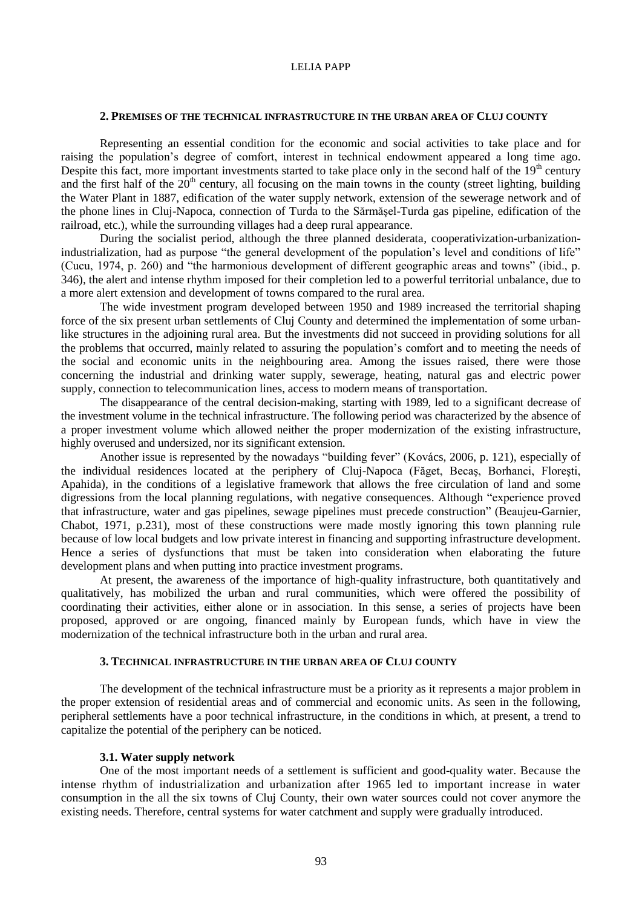## **2. PREMISES OF THE TECHNICAL INFRASTRUCTURE IN THE URBAN AREA OF CLUJ COUNTY**

Representing an essential condition for the economic and social activities to take place and for raising the population's degree of comfort, interest in technical endowment appeared a long time ago. Despite this fact, more important investments started to take place only in the second half of the  $19<sup>th</sup>$  century and the first half of the  $20<sup>th</sup>$  century, all focusing on the main towns in the county (street lighting, building the Water Plant in 1887, edification of the water supply network, extension of the sewerage network and of the phone lines in Cluj-Napoca, connection of Turda to the Sărmăşel-Turda gas pipeline, edification of the railroad, etc.), while the surrounding villages had a deep rural appearance.

During the socialist period, although the three planned desiderata, cooperativization-urbanizationindustrialization, had as purpose "the general development of the population's level and conditions of life" (Cucu, 1974, p. 260) and "the harmonious development of different geographic areas and towns" (ibid., p. 346), the alert and intense rhythm imposed for their completion led to a powerful territorial unbalance, due to a more alert extension and development of towns compared to the rural area.

The wide investment program developed between 1950 and 1989 increased the territorial shaping force of the six present urban settlements of Cluj County and determined the implementation of some urbanlike structures in the adjoining rural area. But the investments did not succeed in providing solutions for all the problems that occurred, mainly related to assuring the population's comfort and to meeting the needs of the social and economic units in the neighbouring area. Among the issues raised, there were those concerning the industrial and drinking water supply, sewerage, heating, natural gas and electric power supply, connection to telecommunication lines, access to modern means of transportation.

The disappearance of the central decision-making, starting with 1989, led to a significant decrease of the investment volume in the technical infrastructure. The following period was characterized by the absence of a proper investment volume which allowed neither the proper modernization of the existing infrastructure, highly overused and undersized, nor its significant extension.

Another issue is represented by the nowadays "building fever" (Kovács, 2006, p. 121), especially of the individual residences located at the periphery of Cluj-Napoca (Făget, Becaş, Borhanci, Floreşti, Apahida), in the conditions of a legislative framework that allows the free circulation of land and some digressions from the local planning regulations, with negative consequences. Although "experience proved that infrastructure, water and gas pipelines, sewage pipelines must precede construction" (Beaujeu-Garnier, Chabot, 1971, p.231), most of these constructions were made mostly ignoring this town planning rule because of low local budgets and low private interest in financing and supporting infrastructure development. Hence a series of dysfunctions that must be taken into consideration when elaborating the future development plans and when putting into practice investment programs.

At present, the awareness of the importance of high-quality infrastructure, both quantitatively and qualitatively, has mobilized the urban and rural communities, which were offered the possibility of coordinating their activities, either alone or in association. In this sense, a series of projects have been proposed, approved or are ongoing, financed mainly by European funds, which have in view the modernization of the technical infrastructure both in the urban and rural area.

## **3. TECHNICAL INFRASTRUCTURE IN THE URBAN AREA OF CLUJ COUNTY**

The development of the technical infrastructure must be a priority as it represents a major problem in the proper extension of residential areas and of commercial and economic units. As seen in the following, peripheral settlements have a poor technical infrastructure, in the conditions in which, at present, a trend to capitalize the potential of the periphery can be noticed.

#### **3.1. Water supply network**

One of the most important needs of a settlement is sufficient and good-quality water. Because the intense rhythm of industrialization and urbanization after 1965 led to important increase in water consumption in the all the six towns of Cluj County, their own water sources could not cover anymore the existing needs. Therefore, central systems for water catchment and supply were gradually introduced.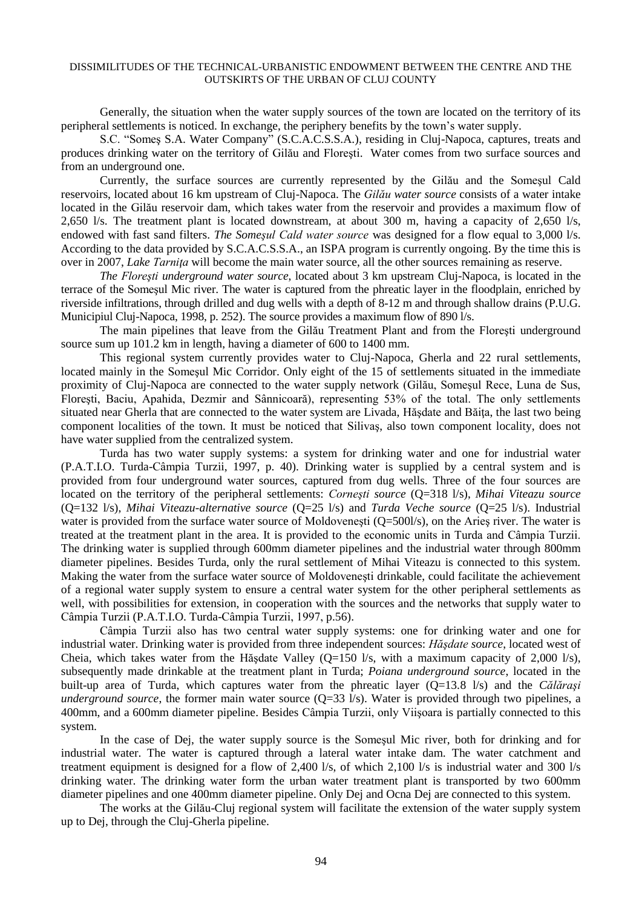## DISSIMILITUDES OF THE TECHNICAL-URBANISTIC ENDOWMENT BETWEEN THE CENTRE AND THE OUTSKIRTS OF THE URBAN OF CLUJ COUNTY

Generally, the situation when the water supply sources of the town are located on the territory of its peripheral settlements is noticed. In exchange, the periphery benefits by the town's water supply.

S.C. "Someş S.A. Water Company" (S.C.A.C.S.S.A.), residing in Cluj-Napoca, captures, treats and produces drinking water on the territory of Gilău and Floreşti. Water comes from two surface sources and from an underground one.

Currently, the surface sources are currently represented by the Gilău and the Someşul Cald reservoirs, located about 16 km upstream of Cluj-Napoca. The *Gilău water source* consists of a water intake located in the Gilău reservoir dam, which takes water from the reservoir and provides a maximum flow of 2,650 l/s. The treatment plant is located downstream, at about 300 m, having a capacity of 2,650 l/s, endowed with fast sand filters. *The Someşul Cald water source* was designed for a flow equal to 3,000 l/s. According to the data provided by S.C.A.C.S.S.A., an ISPA program is currently ongoing. By the time this is over in 2007, *Lake Tarniţa* will become the main water source, all the other sources remaining as reserve.

*The Floreşti underground water source*, located about 3 km upstream Cluj-Napoca, is located in the terrace of the Someşul Mic river. The water is captured from the phreatic layer in the floodplain, enriched by riverside infiltrations, through drilled and dug wells with a depth of 8-12 m and through shallow drains (P.U.G. Municipiul Cluj-Napoca, 1998, p. 252). The source provides a maximum flow of 890 l/s.

The main pipelines that leave from the Gilău Treatment Plant and from the Floreşti underground source sum up 101.2 km in length, having a diameter of 600 to 1400 mm.

This regional system currently provides water to Cluj-Napoca, Gherla and 22 rural settlements, located mainly in the Someşul Mic Corridor. Only eight of the 15 of settlements situated in the immediate proximity of Cluj-Napoca are connected to the water supply network (Gilău, Someşul Rece, Luna de Sus, Floreşti, Baciu, Apahida, Dezmir and Sânnicoară), representing 53% of the total. The only settlements situated near Gherla that are connected to the water system are Livada, Hăsdate and Băita, the last two being component localities of the town. It must be noticed that Silivaş, also town component locality, does not have water supplied from the centralized system.

Turda has two water supply systems: a system for drinking water and one for industrial water (P.A.T.I.O. Turda-Câmpia Turzii, 1997, p. 40). Drinking water is supplied by a central system and is provided from four underground water sources, captured from dug wells. Three of the four sources are located on the territory of the peripheral settlements: *Corneşti source* (Q=318 l/s), *Mihai Viteazu source*  (Q=132 l/s), *Mihai Viteazu-alternative source* (Q=25 l/s) and *Turda Veche source* (Q=25 l/s). Industrial water is provided from the surface water source of Moldovenești (Q=500l/s), on the Arieş river. The water is treated at the treatment plant in the area. It is provided to the economic units in Turda and Câmpia Turzii. The drinking water is supplied through 600mm diameter pipelines and the industrial water through 800mm diameter pipelines. Besides Turda, only the rural settlement of Mihai Viteazu is connected to this system. Making the water from the surface water source of Moldoveneşti drinkable, could facilitate the achievement of a regional water supply system to ensure a central water system for the other peripheral settlements as well, with possibilities for extension, in cooperation with the sources and the networks that supply water to Câmpia Turzii (P.A.T.I.O. Turda-Câmpia Turzii, 1997, p.56).

Câmpia Turzii also has two central water supply systems: one for drinking water and one for industrial water. Drinking water is provided from three independent sources: *Hăşdate source*, located west of Cheia, which takes water from the Hăşdate Valley (Q=150 l/s, with a maximum capacity of 2,000 l/s), subsequently made drinkable at the treatment plant in Turda; *Poiana underground source*, located in the built-up area of Turda, which captures water from the phreatic layer (Q=13.8 l/s) and the *Călăraşi underground source*, the former main water source  $(Q=33 \text{ l/s})$ . Water is provided through two pipelines, a 400mm, and a 600mm diameter pipeline. Besides Câmpia Turzii, only Viişoara is partially connected to this system.

In the case of Dej, the water supply source is the Someşul Mic river, both for drinking and for industrial water. The water is captured through a lateral water intake dam. The water catchment and treatment equipment is designed for a flow of 2,400 l/s, of which 2,100 l/s is industrial water and 300 l/s drinking water. The drinking water form the urban water treatment plant is transported by two 600mm diameter pipelines and one 400mm diameter pipeline. Only Dej and Ocna Dej are connected to this system.

The works at the Gilău-Cluj regional system will facilitate the extension of the water supply system up to Dej, through the Cluj-Gherla pipeline.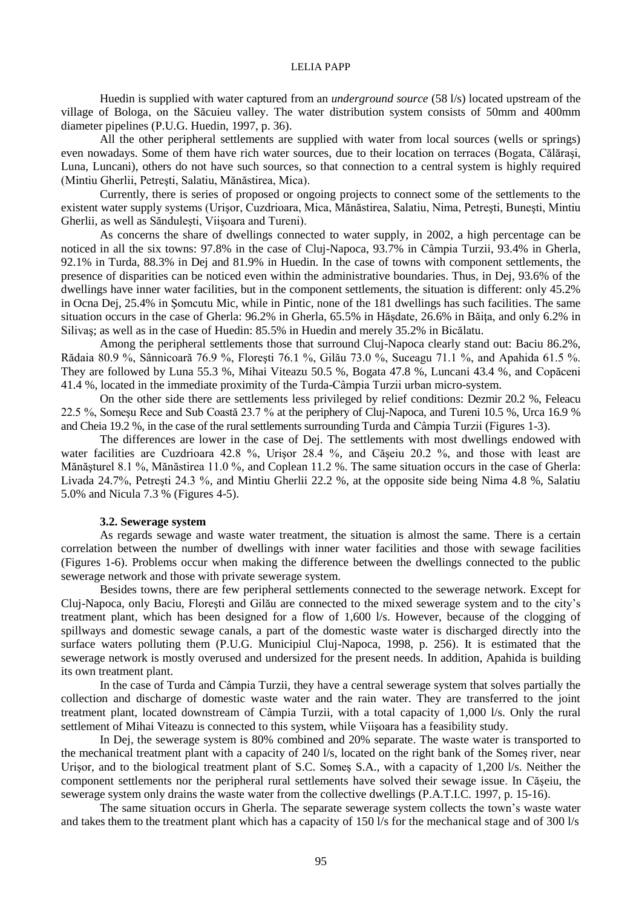#### LELIA PAPP

Huedin is supplied with water captured from an *underground source* (58 l/s) located upstream of the village of Bologa, on the Săcuieu valley. The water distribution system consists of 50mm and 400mm diameter pipelines (P.U.G. Huedin, 1997, p. 36).

All the other peripheral settlements are supplied with water from local sources (wells or springs) even nowadays. Some of them have rich water sources, due to their location on terraces (Bogata, Călăraşi, Luna, Luncani), others do not have such sources, so that connection to a central system is highly required (Mintiu Gherlii, Petreşti, Salatiu, Mănăstirea, Mica).

Currently, there is series of proposed or ongoing projects to connect some of the settlements to the existent water supply systems (Urişor, Cuzdrioara, Mica, Mănăstirea, Salatiu, Nima, Petreşti, Buneşti, Mintiu Gherlii, as well as Sănduleşti, Viişoara and Tureni).

As concerns the share of dwellings connected to water supply, in 2002, a high percentage can be noticed in all the six towns: 97.8% in the case of Cluj-Napoca, 93.7% in Câmpia Turzii, 93.4% in Gherla, 92.1% in Turda, 88.3% in Dej and 81.9% in Huedin. In the case of towns with component settlements, the presence of disparities can be noticed even within the administrative boundaries. Thus, in Dej, 93.6% of the dwellings have inner water facilities, but in the component settlements, the situation is different: only 45.2% in Ocna Dej, 25.4% in Şomcutu Mic, while in Pintic, none of the 181 dwellings has such facilities. The same situation occurs in the case of Gherla: 96.2% in Gherla, 65.5% in Hășdate, 26.6% in Băița, and only 6.2% in Silivaş; as well as in the case of Huedin: 85.5% in Huedin and merely 35.2% in Bicălatu.

Among the peripheral settlements those that surround Cluj-Napoca clearly stand out: Baciu 86.2%, Rădaia 80.9 %, Sânnicoară 76.9 %, Floreşti 76.1 %, Gilău 73.0 %, Suceagu 71.1 %, and Apahida 61.5 %. They are followed by Luna 55.3 %, Mihai Viteazu 50.5 %, Bogata 47.8 %, Luncani 43.4 %, and Copăceni 41.4 %, located in the immediate proximity of the Turda-Câmpia Turzii urban micro-system.

On the other side there are settlements less privileged by relief conditions: Dezmir 20.2 %, Feleacu 22.5 %, Someşu Rece and Sub Coastă 23.7 % at the periphery of Cluj-Napoca, and Tureni 10.5 %, Urca 16.9 % and Cheia 19.2 %, in the case of the rural settlements surrounding Turda and Câmpia Turzii (Figures 1-3).

The differences are lower in the case of Dej. The settlements with most dwellings endowed with water facilities are Cuzdrioara 42.8 %, Urişor 28.4 %, and Căşeiu 20.2 %, and those with least are Mănăşturel 8.1 %, Mănăstirea 11.0 %, and Coplean 11.2 %. The same situation occurs in the case of Gherla: Livada 24.7%, Petreşti 24.3 %, and Mintiu Gherlii 22.2 %, at the opposite side being Nima 4.8 %, Salatiu 5.0% and Nicula 7.3 % (Figures 4-5).

#### **3.2. Sewerage system**

As regards sewage and waste water treatment, the situation is almost the same. There is a certain correlation between the number of dwellings with inner water facilities and those with sewage facilities (Figures 1-6). Problems occur when making the difference between the dwellings connected to the public sewerage network and those with private sewerage system.

Besides towns, there are few peripheral settlements connected to the sewerage network. Except for Cluj-Napoca, only Baciu, Floreşti and Gilău are connected to the mixed sewerage system and to the city's treatment plant, which has been designed for a flow of 1,600 l/s. However, because of the clogging of spillways and domestic sewage canals, a part of the domestic waste water is discharged directly into the surface waters polluting them (P.U.G. Municipiul Cluj-Napoca, 1998, p. 256). It is estimated that the sewerage network is mostly overused and undersized for the present needs. In addition, Apahida is building its own treatment plant.

In the case of Turda and Câmpia Turzii, they have a central sewerage system that solves partially the collection and discharge of domestic waste water and the rain water. They are transferred to the joint treatment plant, located downstream of Câmpia Turzii, with a total capacity of 1,000 l/s. Only the rural settlement of Mihai Viteazu is connected to this system, while Viişoara has a feasibility study.

In Dej, the sewerage system is 80% combined and 20% separate. The waste water is transported to the mechanical treatment plant with a capacity of 240 l/s, located on the right bank of the Someş river, near Urişor, and to the biological treatment plant of S.C. Someş S.A., with a capacity of 1,200 l/s. Neither the component settlements nor the peripheral rural settlements have solved their sewage issue. In Căşeiu, the sewerage system only drains the waste water from the collective dwellings (P.A.T.I.C. 1997, p. 15-16).

The same situation occurs in Gherla. The separate sewerage system collects the town's waste water and takes them to the treatment plant which has a capacity of 150 l/s for the mechanical stage and of 300 l/s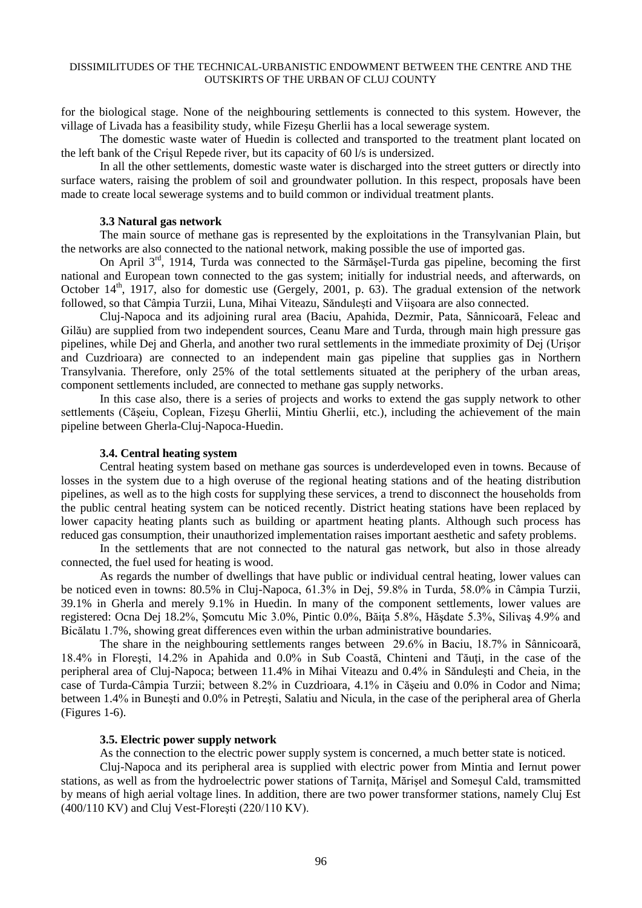## DISSIMILITUDES OF THE TECHNICAL-URBANISTIC ENDOWMENT BETWEEN THE CENTRE AND THE OUTSKIRTS OF THE URBAN OF CLUJ COUNTY

for the biological stage. None of the neighbouring settlements is connected to this system. However, the village of Livada has a feasibility study, while Fizeşu Gherlii has a local sewerage system.

The domestic waste water of Huedin is collected and transported to the treatment plant located on the left bank of the Crişul Repede river, but its capacity of 60 l/s is undersized.

In all the other settlements, domestic waste water is discharged into the street gutters or directly into surface waters, raising the problem of soil and groundwater pollution. In this respect, proposals have been made to create local sewerage systems and to build common or individual treatment plants.

## **3.3 Natural gas network**

The main source of methane gas is represented by the exploitations in the Transylvanian Plain, but the networks are also connected to the national network, making possible the use of imported gas.

On April  $3<sup>rd</sup>$ , 1914, Turda was connected to the Sărmășel-Turda gas pipeline, becoming the first national and European town connected to the gas system; initially for industrial needs, and afterwards, on October 14<sup>th</sup>, 1917, also for domestic use (Gergely, 2001, p. 63). The gradual extension of the network followed, so that Câmpia Turzii, Luna, Mihai Viteazu, Sănduleşti and Viişoara are also connected.

Cluj-Napoca and its adjoining rural area (Baciu, Apahida, Dezmir, Pata, Sânnicoară, Feleac and Gilău) are supplied from two independent sources, Ceanu Mare and Turda, through main high pressure gas pipelines, while Dej and Gherla, and another two rural settlements in the immediate proximity of Dej (Urişor and Cuzdrioara) are connected to an independent main gas pipeline that supplies gas in Northern Transylvania. Therefore, only 25% of the total settlements situated at the periphery of the urban areas, component settlements included, are connected to methane gas supply networks.

In this case also, there is a series of projects and works to extend the gas supply network to other settlements (Căşeiu, Coplean, Fizeşu Gherlii, Mintiu Gherlii, etc.), including the achievement of the main pipeline between Gherla-Cluj-Napoca-Huedin.

## **3.4. Central heating system**

Central heating system based on methane gas sources is underdeveloped even in towns. Because of losses in the system due to a high overuse of the regional heating stations and of the heating distribution pipelines, as well as to the high costs for supplying these services, a trend to disconnect the households from the public central heating system can be noticed recently. District heating stations have been replaced by lower capacity heating plants such as building or apartment heating plants. Although such process has reduced gas consumption, their unauthorized implementation raises important aesthetic and safety problems.

In the settlements that are not connected to the natural gas network, but also in those already connected, the fuel used for heating is wood.

As regards the number of dwellings that have public or individual central heating, lower values can be noticed even in towns: 80.5% in Cluj-Napoca, 61.3% in Dej, 59.8% in Turda, 58.0% in Câmpia Turzii, 39.1% in Gherla and merely 9.1% in Huedin. In many of the component settlements, lower values are registered: Ocna Dej 18.2%, Somcutu Mic 3.0%, Pintic 0.0%, Băița 5.8%, Hăsdate 5.3%, Silivas 4.9% and Bicălatu 1.7%, showing great differences even within the urban administrative boundaries.

The share in the neighbouring settlements ranges between 29.6% in Baciu, 18.7% in Sânnicoară, 18.4% in Floreşti, 14.2% in Apahida and 0.0% in Sub Coastă, Chinteni and Tăuţi, in the case of the peripheral area of Cluj-Napoca; between 11.4% in Mihai Viteazu and 0.4% in Sănduleşti and Cheia, in the case of Turda-Câmpia Turzii; between 8.2% in Cuzdrioara, 4.1% in Căşeiu and 0.0% in Codor and Nima; between 1.4% in Buneşti and 0.0% in Petreşti, Salatiu and Nicula, in the case of the peripheral area of Gherla (Figures 1-6).

## **3.5. Electric power supply network**

As the connection to the electric power supply system is concerned, a much better state is noticed.

Cluj-Napoca and its peripheral area is supplied with electric power from Mintia and Iernut power stations, as well as from the hydroelectric power stations of Tarnita, Mărisel and Somesul Cald, tramsmitted by means of high aerial voltage lines. In addition, there are two power transformer stations, namely Cluj Est (400/110 KV) and Cluj Vest-Floreşti (220/110 KV).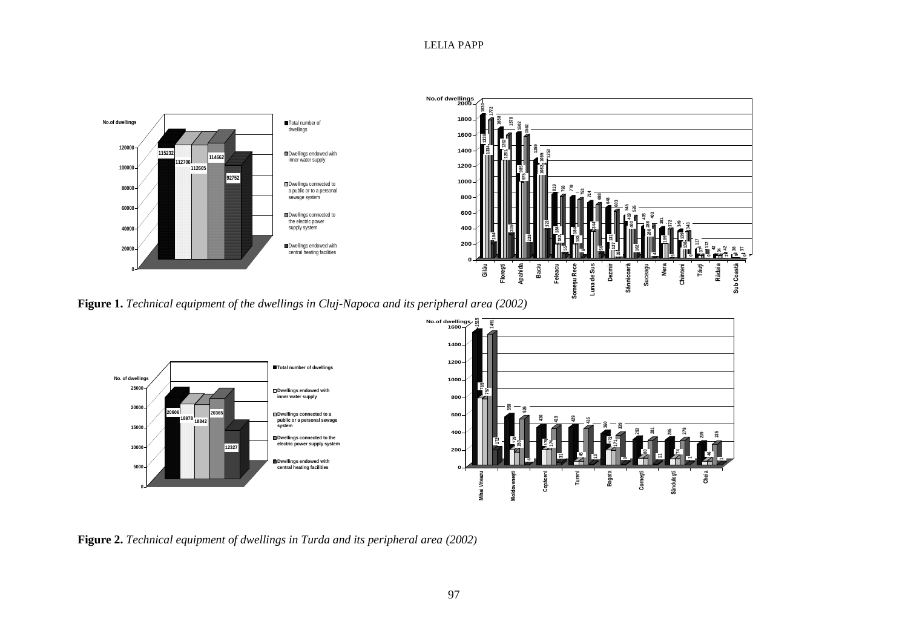

**Figure 1.** *Technical equipment of the dwellings in Cluj-Napoca and its peripheral area (2002)*



**Figure 2.** *Technical equipment of dwellings in Turda and its peripheral area (2002)*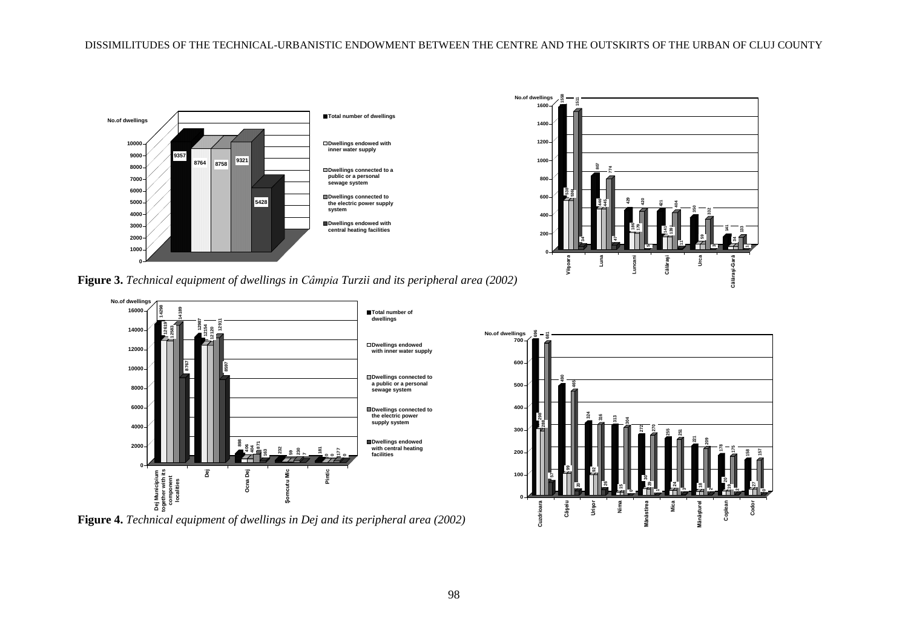

**Figure 3.** *Technical equipment of dwellings in Câmpia Turzii and its peripheral area (2002)*



**Figure 4.** *Technical equipment of dwellings in Dej and its peripheral area (2002)*



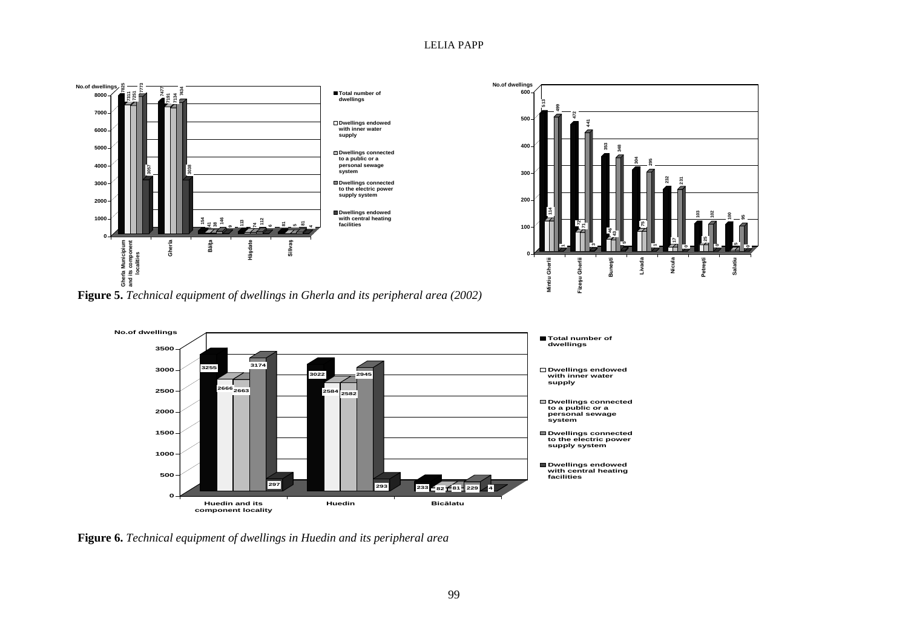## LELIA PAPP





**Figure 5.** *Technical equipment of dwellings in Gherla and its peripheral area (2002)*



**Figure 6.** *Technical equipment of dwellings in Huedin and its peripheral area*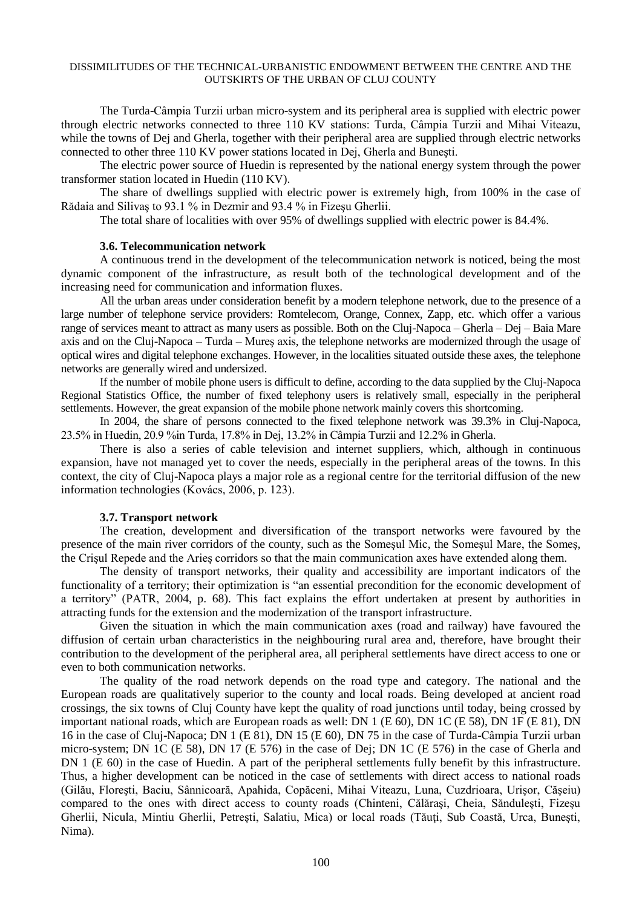#### DISSIMILITUDES OF THE TECHNICAL-URBANISTIC ENDOWMENT BETWEEN THE CENTRE AND THE OUTSKIRTS OF THE URBAN OF CLUJ COUNTY

The Turda-Câmpia Turzii urban micro-system and its peripheral area is supplied with electric power through electric networks connected to three 110 KV stations: Turda, Câmpia Turzii and Mihai Viteazu, while the towns of Dej and Gherla, together with their peripheral area are supplied through electric networks connected to other three 110 KV power stations located in Dej, Gherla and Buneşti.

The electric power source of Huedin is represented by the national energy system through the power transformer station located in Huedin (110 KV).

The share of dwellings supplied with electric power is extremely high, from 100% in the case of Rădaia and Silivaş to 93.1 % in Dezmir and 93.4 % in Fizeşu Gherlii.

The total share of localities with over 95% of dwellings supplied with electric power is 84.4%.

## **3.6. Telecommunication network**

A continuous trend in the development of the telecommunication network is noticed, being the most dynamic component of the infrastructure, as result both of the technological development and of the increasing need for communication and information fluxes.

All the urban areas under consideration benefit by a modern telephone network, due to the presence of a large number of telephone service providers: Romtelecom, Orange, Connex, Zapp, etc. which offer a various range of services meant to attract as many users as possible. Both on the Cluj-Napoca – Gherla – Dej – Baia Mare axis and on the Cluj-Napoca – Turda – Mureş axis, the telephone networks are modernized through the usage of optical wires and digital telephone exchanges. However, in the localities situated outside these axes, the telephone networks are generally wired and undersized.

If the number of mobile phone users is difficult to define, according to the data supplied by the Cluj-Napoca Regional Statistics Office, the number of fixed telephony users is relatively small, especially in the peripheral settlements. However, the great expansion of the mobile phone network mainly covers this shortcoming.

In 2004, the share of persons connected to the fixed telephone network was 39.3% in Cluj-Napoca, 23.5% in Huedin, 20.9 %in Turda, 17.8% in Dej, 13.2% in Câmpia Turzii and 12.2% in Gherla.

There is also a series of cable television and internet suppliers, which, although in continuous expansion, have not managed yet to cover the needs, especially in the peripheral areas of the towns. In this context, the city of Cluj-Napoca plays a major role as a regional centre for the territorial diffusion of the new information technologies (Kovács, 2006, p. 123).

#### **3.7. Transport network**

The creation, development and diversification of the transport networks were favoured by the presence of the main river corridors of the county, such as the Someşul Mic, the Someşul Mare, the Someş, the Crişul Repede and the Arieş corridors so that the main communication axes have extended along them.

The density of transport networks, their quality and accessibility are important indicators of the functionality of a territory; their optimization is "an essential precondition for the economic development of a territory" (PATR, 2004, p. 68). This fact explains the effort undertaken at present by authorities in attracting funds for the extension and the modernization of the transport infrastructure.

Given the situation in which the main communication axes (road and railway) have favoured the diffusion of certain urban characteristics in the neighbouring rural area and, therefore, have brought their contribution to the development of the peripheral area, all peripheral settlements have direct access to one or even to both communication networks.

The quality of the road network depends on the road type and category. The national and the European roads are qualitatively superior to the county and local roads. Being developed at ancient road crossings, the six towns of Cluj County have kept the quality of road junctions until today, being crossed by important national roads, which are European roads as well: DN 1 (E 60), DN 1C (E 58), DN 1F (E 81), DN 16 in the case of Cluj-Napoca; DN 1 (E 81), DN 15 (E 60), DN 75 in the case of Turda-Câmpia Turzii urban micro-system; DN 1C (E 58), DN 17 (E 576) in the case of Dej; DN 1C (E 576) in the case of Gherla and DN 1 (E 60) in the case of Huedin. A part of the peripheral settlements fully benefit by this infrastructure. Thus, a higher development can be noticed in the case of settlements with direct access to national roads (Gilău, Floreşti, Baciu, Sânnicoară, Apahida, Copăceni, Mihai Viteazu, Luna, Cuzdrioara, Urişor, Căşeiu) compared to the ones with direct access to county roads (Chinteni, Călăraşi, Cheia, Sănduleşti, Fizeşu Gherlii, Nicula, Mintiu Gherlii, Petreşti, Salatiu, Mica) or local roads (Tăuţi, Sub Coastă, Urca, Buneşti, Nima).